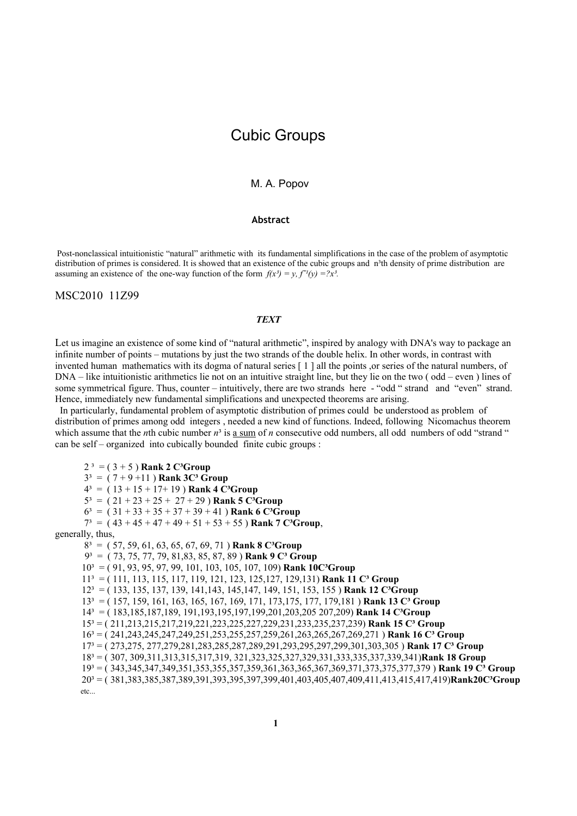# Cubic Groups

### M. A. Popov

### **Abstract**

Post-nonclassical intuitionistic "natural" arithmetic with its fundamental simplifications in the case of the problem of asymptotic distribution of primes is considered. It is showed that an existence of the cubic groups and n<sup>3</sup>th density of prime distribution are assuming an existence of the one-way function of the form  $f(x^3) = y$ ,  $f'(y) = 2x^3$ .

# MSC2010 11Z99

### *TEXT*

Let us imagine an existence of some kind of "natural arithmetic", inspired by analogy with DNA's way to package an infinite number of points – mutations by just the two strands of the double helix. In other words, in contrast with invented human mathematics with its dogma of natural series [ 1 ] all the points ,or series of the natural numbers, of DNA – like intuitionistic arithmetics lie not on an intuitive straight line, but they lie on the two ( odd – even ) lines of some symmetrical figure. Thus, counter – intuitively, there are two strands here - "odd " strand and "even" strand. Hence, immediately new fundamental simplifications and unexpected theorems are arising.

 In particularly, fundamental problem of asymptotic distribution of primes could be understood as problem of distribution of primes among odd integers , needed a new kind of functions. Indeed, following Nicomachus theorem which assume that the *n*th cubic number  $n^3$  is a sum of *n* consecutive odd numbers, all odd numbers of odd "strand " can be self – organized into cubically bounded finite cubic groups :

 $2^3 = (3 + 5)$  **Rank 2 C<sup>3</sup>Group** 

 $3^3 = (7 + 9 + 11)$  **Rank 3C<sup>3</sup> Group** 

 $4^3 = (13 + 15 + 17 + 19)$  **Rank 4 C<sup>3</sup>Group** 

 $5^3 = (21 + 23 + 25 + 27 + 29)$  **Rank 5 C<sup>3</sup>Group** 

 $6<sup>3</sup> = (31 + 33 + 35 + 37 + 39 + 41)$  **Rank 6 C<sup>3</sup>Group** 

 $7^3$  = (43 + 45 + 47 + 49 + 51 + 53 + 55) **Rank 7 C<sup>3</sup>Group**,

generally, thus,

```
8<sup>3</sup> = (57, 59, 61, 63, 65, 67, 69, 71) Rank 8 C<sup>3</sup>Group
 9³ = ( 73, 75, 77, 79, 81,83, 85, 87, 89 ) Rank 9 C³ Group
10<sup>3</sup> = (91, 93, 95, 97, 99, 101, 103, 105, 107, 109) Rank 10C<sup>3</sup>Group
 11³ = ( 111, 113, 115, 117, 119, 121, 123, 125,127, 129,131) Rank 11 C³ Group
12<sup>3</sup> = (133, 135, 137, 139, 141, 143, 145, 147, 149, 151, 153, 155) Rank 12 C<sup>3</sup>Group
 13³ = ( 157, 159, 161, 163, 165, 167, 169, 171, 173,175, 177, 179,181 ) Rank 13 C³ Group
 14³ = ( 183,185,187,189, 191,193,195,197,199,201,203,205 207,209) Rank 14 C³Group
 15³ = ( 211,213,215,217,219,221,223,225,227,229,231,233,235,237,239) Rank 15 C³ Group
16<sup>3</sup> = (241,243,245,247,249,251,253,255,257,259,261,263,265,267,269,271) Rank 16 C<sup>3</sup> Group
17<sup>3</sup> = (273,275, 277,279,281,283,285,287,289,291,293,295,297,299,301,303,305) Rank 17 C<sup>3</sup> Group
 18³ = ( 307, 309,311,313,315,317,319, 321,323,325,327,329,331,333,335,337,339,341)Rank 18 Group
 19³ = ( 343,345,347,349,351,353,355,357,359,361,363,365,367,369,371,373,375,377,379 ) Rank 19 C³ Group
20<sup>3</sup> = (381,383,385,387,389,391,393,395,397,399,401,403,405,407,409,411,413,415,417,419)Rank20C<sup>3</sup>Group
 etc...
```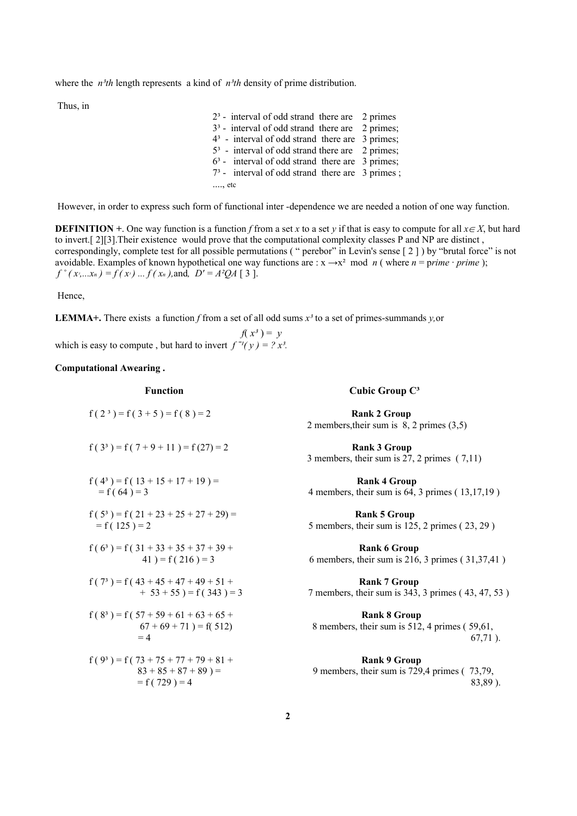where the  $n^3$ th length represents a kind of  $n^3$ th density of prime distribution.

Thus, in

|                | $23$ - interval of odd strand there are 2 primes  |  |
|----------------|---------------------------------------------------|--|
|                | $33$ - interval of odd strand there are 2 primes; |  |
|                | $43$ - interval of odd strand there are 3 primes; |  |
|                | $53$ - interval of odd strand there are 2 primes; |  |
|                | $63$ - interval of odd strand there are 3 primes; |  |
|                | $73$ - interval of odd strand there are 3 primes; |  |
| $\ldots$ , etc |                                                   |  |

However, in order to express such form of functional inter -dependence we are needed a notion of one way function.

**DEFINITION** +. One way function is a function *f* from a set *x* to a set *y* if that is easy to compute for all  $x \in X$ , but hard to invert.[ 2][3].Their existence would prove that the computational complexity classes P and NP are distinct , correspondingly, complete test for all possible permutations ( " perebor" in Levin's sense [ 2 ] ) by "brutal force" is not avoidable. Examples of known hypothetical one way functions are :  $x \rightarrow x^2$  mod *n* (where  $n = prime \cdot prime$ );  $f^{\circ}(x_{1},...,x_{n}) = f(x_{1})...f(x_{n})$ ,and,  $D' = A^{2}QA$  [ 3 ].

Hence,

**LEMMA+.** There exists a function f from a set of all odd sums  $x^3$  to a set of primes-summands *y*,or

 $f(x^3) = y$ which is easy to compute, but hard to invert  $f^{-1}(v) = ? x^3$ .

### **Computational Awearing .**

### **Function** Cubic Group C<sup>3</sup>

 $f(2^3) = f(3+5) = f(8) = 2$  **Rank 2 Group** 2 members,their sum is 8, 2 primes (3,5)

 $f(3^3) = f(7 + 9 + 11) = f(27) = 2$  **Rank 3 Group** 3 members, their sum is 27, 2 primes ( 7,11)

 $f(4^3) = f(13 + 15 + 17 + 19) =$ **Rank 4 Group**  $= f(64) = 3$  4 members, their sum is 64, 3 primes ( 13,17,19)

 $f(5^3) = f(21 + 23 + 25 + 27 + 29) =$ **Rank 5 Group**  $= f(125) = 2$  5 members, their sum is 125, 2 primes ( 23, 29 )

 $f (6^3) = f (31 + 33 + 35 + 37 + 39 + 41) = f (216) = 3$  **Rank 6 Group**<br>6 members, their sum is 216 6 members, their sum is  $216$ , 3 primes (  $31,37,41$  )

 $f(7^3) = f(43 + 45 + 47 + 49 + 51 +$  **Rank 7 Group**  $+ 53 + 55$  ) = f ( 343 ) = 3 7 members, their sum is 343, 3 primes ( 43, 47, 53 )

 $f(8^3) = f(57 + 59 + 61 + 63 + 65 +$  **Rank 8 Group**  $67 + 69 + 71$  ) = f( 512) 8 members, their sum is 512, 4 primes ( 59,61,  $= 4$  67,71 ).

 $f(9^3) = f(73 + 75 + 77 + 79 + 81 +$  **Rank 9 Group** 9 members, their sum is  $729.4$  primes ( $73.79$ ,  $= f(729) = 4$  83,89).

$$
1(92) - 1(75 + 75 + 77 + 79 + 81 + 82)
$$
  
= 83 + 85 + 87 + 89) =  
= f(729) = 4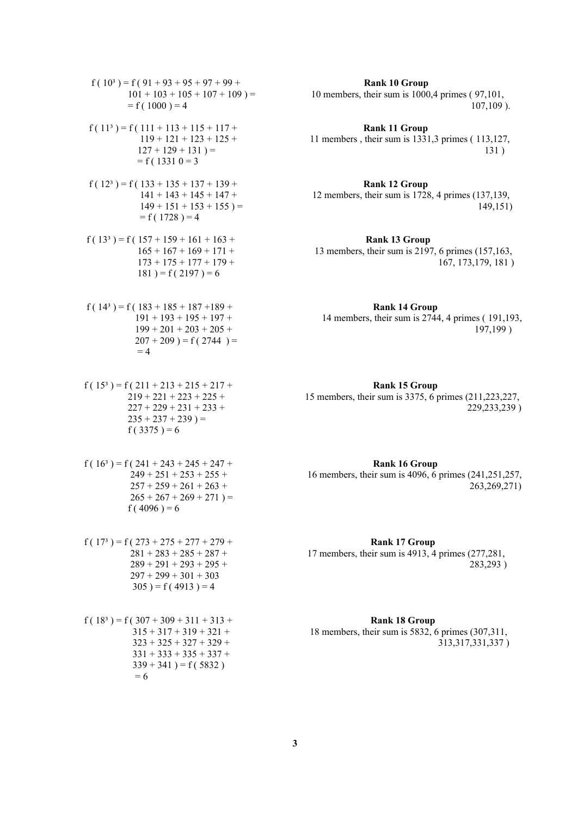$f(10^3) = f(91 + 93 + 95 + 97 + 99 + 101 + 103 + 105 + 107 + 109) =$ <br>**Rank 10 Group** f  $(11<sup>3</sup>) = f(111 + 113 + 115 + 117 +$  **Rank 11 Group**  $= f( 1331 0 = 3$  $f(12^3) = f(133 + 135 + 137 + 139 +$ **Rank 12 Group**  $= f( 1728 ) = 4$  $f(13^3) = f(157 + 159 + 161 + 163 +$ **Rank 13 Group**  $181$ ) = f (2197) = 6 f  $(14^3)$  = f  $(183 + 185 + 187 + 189 +$  **Rank 14 Group**  $207 + 209$ ) = f (2744) =  $= 4$  $f(15^3) = f(211 + 213 + 215 + 217 +$  **Rank 15 Group**  $235 + 237 + 239$ ) = f ( $3375$ ) = 6  $f(16^3) = f(241 + 243 + 245 + 247 +$  **Rank 16 Group**  $265 + 267 + 269 + 271$ ) = f ( $4096$ ) = 6 f  $(17<sup>3</sup>) = f(273 + 275 + 277 + 279 +$ **Rank 17 Group**  $297 + 299 + 301 + 303$  $305$ ) = f (4913) = 4 f ( $18<sup>3</sup>$ ) = f ( $307 + 309 + 311 + 313 +$  **Rank 18 Group**  $331 + 333 + 335 + 337 +$ 

 $339 + 341$  ) = f (5832)

 $= 6$ 

10 members, their sum is  $1000,4$  primes (  $97,101$ ,  $= f(1000) = 4$  107,109).

119 + 121 + 123 + 125 + 11 members, their sum is 1331,3 primes (113,127,  $127 + 129 + 131$  = 131 )

 141 + 143 + 145 + 147 + 12 members, their sum is 1728, 4 primes (137,139,  $149 + 151 + 153 + 155 = 149,151$ 

 165 + 167 + 169 + 171 + 13 members, their sum is 2197, 6 primes (157,163,  $173 + 175 + 177 + 179 + 181$ 

 191 + 193 + 195 + 197 + 14 members, their sum is 2744, 4 primes ( 191,193,  $199 + 201 + 203 + 205 +$  197,199 )

 219 + 221 + 223 + 225 + 15 members, their sum is 3375, 6 primes (211,223,227,  $227 + 229 + 231 + 233 + 229,233,239$ 

 249 + 251 + 253 + 255 + 16 members, their sum is 4096, 6 primes (241,251,257,  $257 + 259 + 261 + 263 + 263$ 

 281 + 283 + 285 + 287 + 17 members, their sum is 4913, 4 primes (277,281,  $289 + 291 + 293 + 295 +$  283,293)

 $315 + 317 + 319 + 321 + 18$  members, their sum is 5832, 6 primes (307,311,  $323 + 325 + 327 + 329 + 313,317,331,337$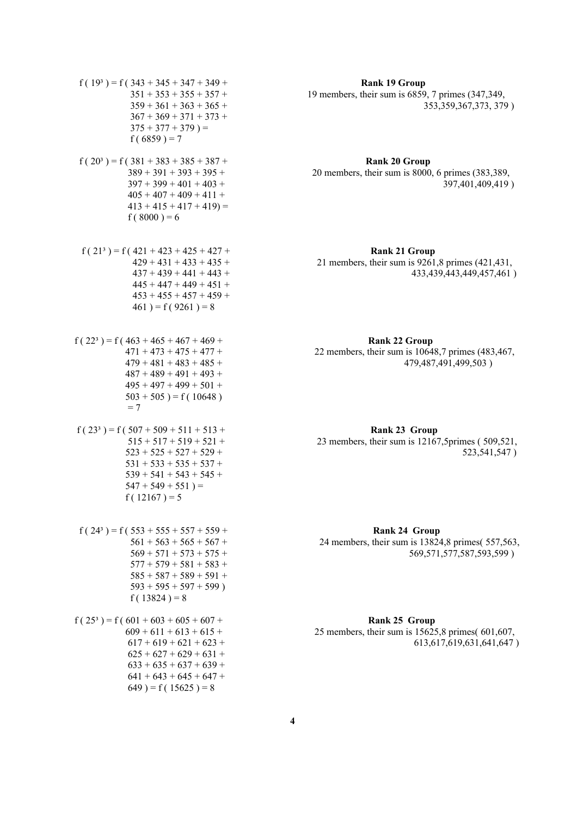| $f(19^3) = f(343 + 345 + 347 + 349 +$<br>$351 + 353 + 355 + 357 +$<br>$359 + 361 + 363 + 365 +$<br>$367 + 369 + 371 + 373 +$<br>$375 + 377 + 379$ ) =<br>$f(6859) = 7$                                   |
|----------------------------------------------------------------------------------------------------------------------------------------------------------------------------------------------------------|
| $f(20^3) = f(381 + 383 + 385 + 387 +$<br>$389 + 391 + 393 + 395 +$<br>$397 + 399 + 401 + 403 +$<br>$405 + 407 + 409 + 411 +$<br>$413 + 415 + 417 + 419 =$<br>$f(8000) = 6$                               |
| $f(21^3) = f(421 + 423 + 425 + 427 +$<br>$429 + 431 + 433 + 435 +$<br>$437 + 439 + 441 + 443 +$<br>$445 + 447 + 449 + 451 +$<br>$453 + 455 + 457 + 459 +$<br>$461$ ) = f (9261) = 8                      |
| $f(22^3) = f(463 + 465 + 467 + 469 +$<br>$471 + 473 + 475 + 477 +$<br>$479 + 481 + 483 + 485 +$<br>$487 + 489 + 491 + 493 +$<br>$495 + 497 + 499 + 501 +$<br>$503 + 505$ ) = f(10648)<br>$=7$            |
| $f(23^3) = f(507 + 509 + 511 + 513 +$<br>$515 + 517 + 519 + 521 +$<br>$523 + 525 + 527 + 529 +$<br>$531 + 533 + 535 + 537 +$<br>$539 + 541 + 543 + 545 +$<br>$547 + 549 + 551$ ) =<br>$f(12167) = 5$     |
| $f(24^3) = f(553 + 555 + 557 + 559 +$<br>$561 + 563 + 565 + 567 +$<br>$569 + 571 + 573 + 575 +$<br>$577 + 579 + 581 + 583 +$<br>$585 + 587 + 589 + 591 +$<br>$593 + 595 + 597 + 599$ )<br>$f(13824) = 8$ |
| $f(25^3) = f(601 + 603 + 605 + 607 +$<br>$609 + 611 + 613 + 615 +$<br>$617 + 619 + 621 + 623 +$<br>$625 + 627 + 629 + 631 +$<br>$633 + 635 + 637 + 639 +$<br>$(11 + 612 + 615 + 617 +$                   |

 $641 + 643 + 645 + 647 +$  $649$ ) = f (15625) = 8

**Rank 19 Group** 19 members, their sum is  $6859$ , 7 primes  $(347,349)$ ,  $353,359,367,373,379$ )

 f ( 20³ ) = f ( 381 + 383 + 385 + 387 + **Rank 20 Group** 20 members, their sum is 8000, 6 primes (383,389, 397,401,409,419)

**Rank 21 Group** 

21 members, their sum is  $9261,8$  primes (421,431, 433,439,443,449,457,461)

Rank 22 Group

22 members, their sum is 10648,7 primes (483,467, 479,487,491,499,503)

f ( 23³ ) = f ( 507 + 509 + 511 + 513 + **Rank 23 Group**

23 members, their sum is  $12167,5 \text{primes}$  ( 509,521,  $523,541,547$ )

Rank 24 Group 24 members, their sum is  $13824,8$  primes( 557,563,

569,571,577,587,593,599)

f ( 25³ ) = f ( 601 + 603 + 605 + 607 + **Rank 25 Group**

25 members, their sum is  $15625,8$  primes(  $601,607$ , 613,617,619,631,641,647)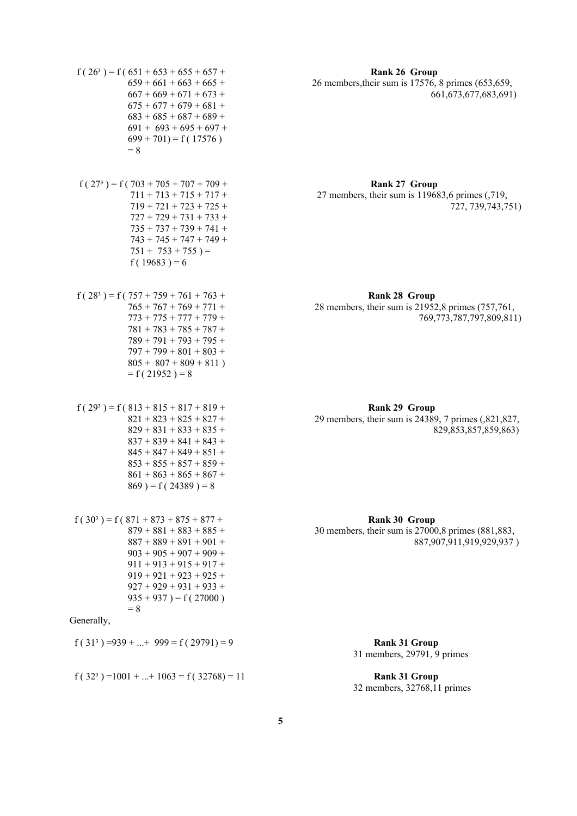- $f(26^3) = f(651 + 653 + 655 + 657 +$  **Rank 26 Group**  $667 + 669 + 671 + 673 +$  $675 + 677 + 679 + 681 +$  $683 + 685 + 687 + 689 +$  $691 + 693 + 695 + 697 +$  $699 + 701$ ) = f (17576)  $= 8$
- $f(27<sup>3</sup>) = f(703 + 705 + 707 + 709 +$  **Rank 27 Group**  $727 + 729 + 731 + 733 +$  $735 + 737 + 739 + 741 +$  $743 + 745 + 747 + 749 +$  $751 + 753 + 755$ ) = f ( $19683$ ) = 6
- $f(28^3) = f(757 + 759 + 761 + 763 +$ **Rank 28 Group**  $781 + 783 + 785 + 787 +$  $789 + 791 + 793 + 795 +$  $797 + 799 + 801 + 803 +$  $805 + 807 + 809 + 811$  $= f( 21952 ) = 8$
- $f(29^3) = f(813 + 815 + 817 + 819 +$  **Rank 29 Group**  $837 + 839 + 841 + 843 +$  $845 + 847 + 849 + 851 +$  $853 + 855 + 857 + 859 +$  $861 + 863 + 865 + 867 +$  $869$ ) = f (24389) = 8
- $f(30^3) = f(871 + 873 + 875 + 877 +$  **Rank 30 Group**  $903 + 905 + 907 + 909 +$  $911 + 913 + 915 + 917 +$  $919 + 921 + 923 + 925 +$  $927 + 929 + 931 + 933 +$  $935 + 937$ ) = f (27000)  $= 8$

Generally,

f ( 31³ ) =939 + ...+ 999 = f ( 29791) = 9 **Rank 31 Group**

$$
f(32^3) = 1001 + ... + 1063 = f(32768) = 11
$$

 $659 + 661 + 663 + 665 + 26$  members, their sum is 17576, 8 primes (653,659, 667 + 669 + 671 + 673 + 661,673,677,683,691)

 711 + 713 + 715 + 717 + 27 members, their sum is 119683,6 primes (,719, 719 + 721 + 723 + 725 + 727, 739,743,751)

 765 + 767 + 769 + 771 + 28 members, their sum is 21952,8 primes (757,761,  $773 + 775 + 777 + 779 + 779 + 769.811$ 

 $821 + 823 + 825 + 827 + 29$  members, their sum is 24389, 7 primes (,821,827,  $829 + 831 + 833 + 835 + 835 + 829,853,857,859,863$ 

 879 + 881 + 883 + 885 + 30 members, their sum is 27000,8 primes (881,883, 887 + 889 + 891 + 901 + 887,907,911,919,929,937 )

31 members, 29791, 9 primes

**Rank 31 Group** 32 members, 32768,11 primes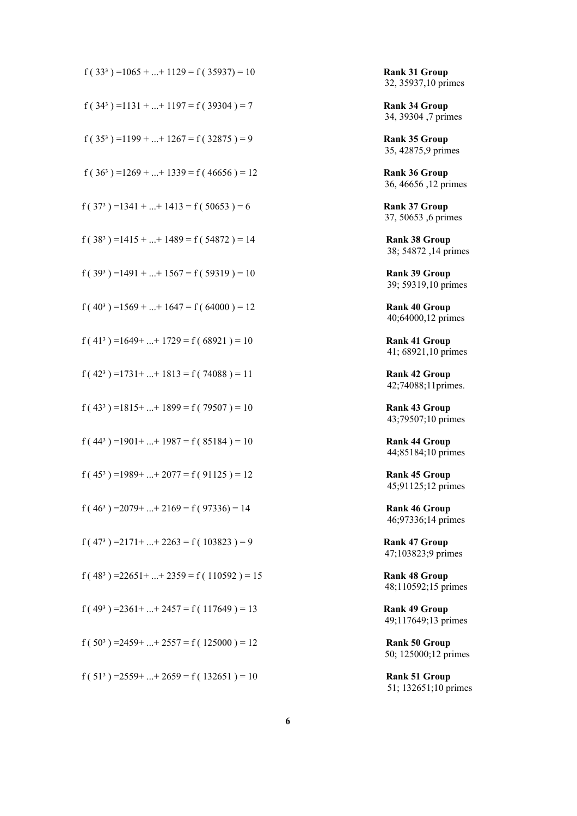| $f(33^3) = 1065 +  + 1129 = f(35937) = 10$   |
|----------------------------------------------|
| $f(34^3) = 1131 +  + 1197 = f(39304) = 7$    |
| $f(35^3) = 1199 +  + 1267 = f(32875) = 9$    |
| $f(36^3) = 1269 +  + 1339 = f(46656) = 12$   |
| $f(373) = 1341 +  + 1413 = f(50653) = 6$     |
| $f(38^3) = 1415 +  + 1489 = f(54872) = 14$   |
| $f(393) = 1491 +  + 1567 = f(59319) = 10$    |
| $f(40^3) = 1569 +  + 1647 = f(64000) = 12$   |
| $f(41^3) = 1649 +  + 1729 = f(68921) = 10$   |
| $f(42^3) = 1731 +  + 1813 = f(74088) = 11$   |
| $f(43^3) = 1815 +  + 1899 = f(79507) = 10$   |
| $f(44^3) = 1901 +  + 1987 = f(85184) = 10$   |
| $f(45^3) = 1989 +  + 2077 = f(91125) = 12$   |
| $f(46^3) = 2079 +  + 2169 = f(97336) = 14$   |
| $f(473) = 2171 +  + 2263 = f(103823) = 9$    |
| $f(48^3) = 22651 +  + 2359 = f(110592) = 15$ |
| $f(49^3) = 2361 +  + 2457 = f(117649) = 13$  |
| $f(50^3) = 2459 +  + 2557 = f(125000) = 12$  |
| $f(513) = 2559 +  + 2659 = f(132651) = 10$   |
|                                              |

**Rank 31 Group** 32, 35937,10 primes

**Rank 34 Group** 34, 39304 ,7 primes

**Rank 35 Group** 35, 42875,9 primes

**Rank 36 Group** 36, 46656 ,12 primes

**Rank 37 Group** 37, 50653 ,6 primes

**Rank 38 Group** 38; 54872 ,14 primes

**Rank 39 Group** 39; 59319,10 primes

**Rank 40 Group** 40;64000,12 primes

**Rank 41 Group** 41; 68921,10 primes

**Rank 42 Group** 42;74088;11primes.

**Rank 43 Group** 43;79507;10 primes

**Rank 44 Group** 44;85184;10 primes

**Rank 45 Group** 45;91125;12 primes

**Rank 46 Group** 46;97336;14 primes

**Rank 47 Group** 47;103823;9 primes

**Rank 48 Group** 48;110592;15 primes

**Rank 49 Group** 49;117649;13 primes

**Rank 50 Group** 50; 125000;12 primes

**Rank 51 Group** 51; 132651;10 primes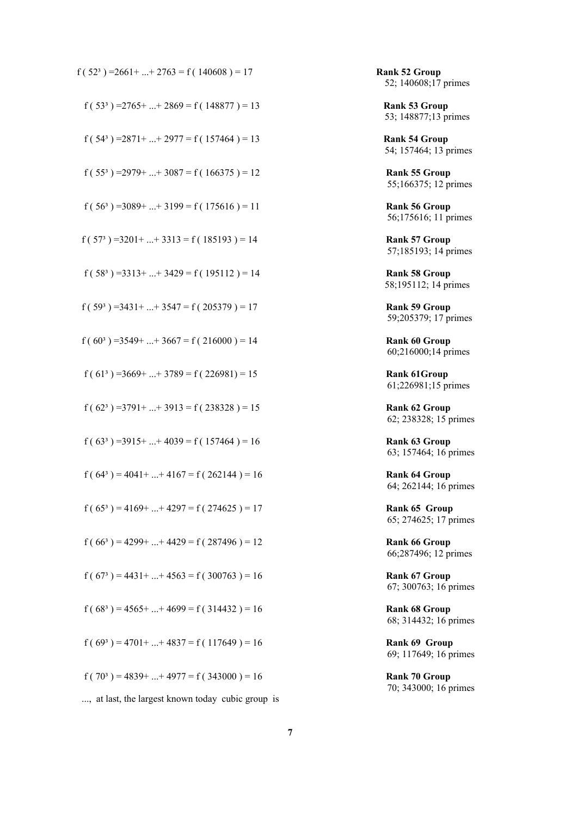| $f(52^3) = 2661 +  + 2763 = f(140608) = 17$ |
|---------------------------------------------|
| $f(53^3) = 2765 +  + 2869 = f(148877) = 13$ |
| $f(54^3) = 2871 +  + 2977 = f(157464) = 13$ |
| $f(55^3) = 2979 +  + 3087 = f(166375) = 12$ |
| $f(56^3) = 3089 +  + 3199 = f(175616) = 11$ |
| $f(573) = 3201 +  + 3313 = f(185193) = 14$  |
| $f(58^3) = 3313 +  + 3429 = f(195112) = 14$ |
| $f(593) = 3431 +  + 3547 = f(205379) = 17$  |
| $f(60^3) = 3549 +  + 3667 = f(216000) = 14$ |
| $f(613) = 3669 +  + 3789 = f(226981) = 15$  |
| $f(62^3) = 3791 +  + 3913 = f(238328) = 15$ |
| $f(63^3) = 3915 +  + 4039 = f(157464) = 16$ |
| $f(64^3) = 4041 +  + 4167 = f(262144) = 16$ |
| $f(65^3) = 4169 +  + 4297 = f(274625) = 17$ |
| $f(66^3) = 4299 +  + 4429 = f(287496) = 12$ |
| $f(67^3) = 4431 +  + 4563 = f(300763) = 16$ |
| $f(68^3) = 4565 +  + 4699 = f(314432) = 16$ |
| $f(69^3) = 4701 +  + 4837 = f(117649) = 16$ |
| $f(70^3) = 4839 +  + 4977 = f(343000) = 16$ |

..., at last, the largest known today cubic group is

**Rank 52 Group** 52; 140608;17 primes

**Rank 53 Group** 53; 148877;13 primes

**Rank 54 Group** 54; 157464; 13 primes

**Rank 55 Group** 55;166375; 12 primes

**Rank 56 Group** 56;175616; 11 primes

**Rank 57 Group** 57;185193; 14 primes

**Rank 58 Group** 58;195112; 14 primes

**Rank 59 Group** 59;205379; 17 primes

**Rank 60 Group** 60;216000;14 primes

 $Rank 61$ Group 61;226981;15 primes

Rank 62 Group 62; 238328; 15 primes

Rank 63 Group 63; 157464; 16 primes

**Rank 64 Group** 64; 262144; 16 primes

Rank 65 Group 65; 274625; 17 primes

**Rank 66 Group** 66;287496; 12 primes

**Rank 67 Group** 67; 300763; 16 primes

**Rank 68 Group** 68; 314432; 16 primes

Rank 69 Group 69; 117649; 16 primes

**Rank 70 Group** 70; 343000; 16 primes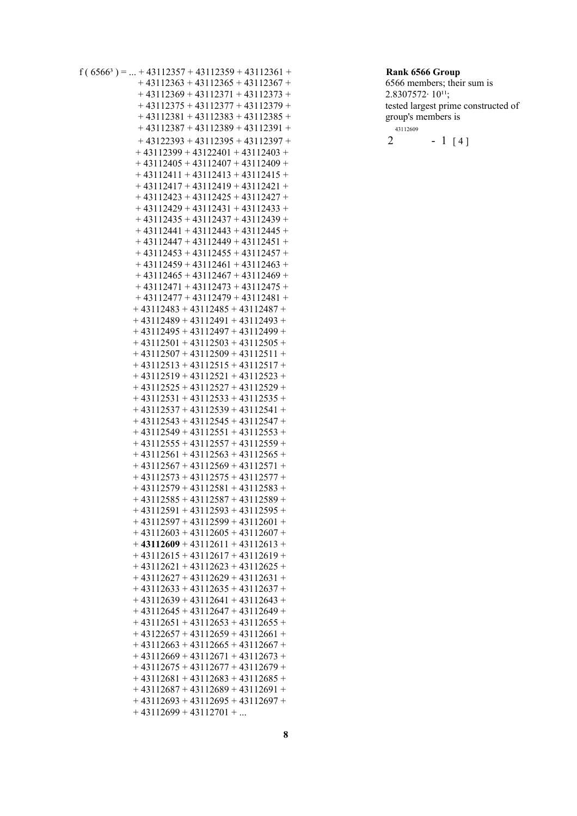| $f(6566^3) =  + 43112357 + 43112359 + 43112361 +$<br>$+43112363+43112365+43112367+$<br>$+43112369 + 43112371 + 43112373 +$<br>$+43112375+43112377+43112379+$<br>$+43112381 + 43112383 + 43112385 +$           | Rank 6566 Group<br>6566 members; their sum is<br>$2.8307572 \cdot 10^{11}$ ;<br>tested largest prime constructed of<br>group's members is |
|---------------------------------------------------------------------------------------------------------------------------------------------------------------------------------------------------------------|-------------------------------------------------------------------------------------------------------------------------------------------|
| $+43112387+43112389+43112391+$<br>$+43122393+43112395+43112397+$<br>$+43112399 + 43122401 + 43112403 +$<br>$+43112405 +43112407 +43112409 +$<br>$+43112411+43112413+43112415+$                                | 43112609<br>2<br>$-1[4]$                                                                                                                  |
| $+43112417+43112419+43112421+$<br>$+43112423+43112425+43112427+$<br>$+43112429 + 43112431 + 43112433 +$<br>$+43112435+43112437+43112439+$<br>$+43112441 + 43112443 + 43112445 +$                              |                                                                                                                                           |
| $+43112447+43112449+43112451+$<br>$+43112453+43112455+43112457+$<br>$+43112459 + 43112461 + 43112463 +$<br>$+43112465+43112467+43112469+$<br>$+43112471+43112473+43112475+$<br>$+43112477+43112479+43112481+$ |                                                                                                                                           |
| $+43112483+43112485+43112487+$<br>$+43112489 + 43112491 + 43112493 +$<br>$+43112495 +43112497 +43112499 +$<br>$+43112501 + 43112503 + 43112505 +$<br>$+43112507 +43112509 +43112511 +$                        |                                                                                                                                           |
| $+43112513+43112515+43112517+$<br>$+43112519 + 43112521 + 43112523 +$<br>$+43112525+43112527+43112529+$<br>$+43112531+43112533+43112535+$<br>$+43112537+43112539+43112541+$                                   |                                                                                                                                           |
| $+43112543+43112545+43112547+$<br>$+43112549 + 43112551 + 43112553 +$<br>$+43112555+43112557+43112559+$<br>$+43112561+43112563+43112565+$<br>$+43112567+43112569+43112571+$<br>$+43112573+43112575+43112577+$ |                                                                                                                                           |
| $+43112579 + 43112581 + 43112583 +$<br>$+43112585+43112587+43112589+$<br>$+43112591 + 43112593 + 43112595 +$<br>$+43112597 + 43112599 + 43112601 +$<br>$+43112603+43112605+43112607+$                         |                                                                                                                                           |
| $+43112609 + 43112611 + 43112613 +$<br>$+43112615+43112617+43112619+$<br>$+43112621+43112623+43112625+$<br>$+43112627+43112629+43112631+$<br>$+43112633+43112635+43112637+$                                   |                                                                                                                                           |
| $+43112639 + 43112641 + 43112643 +$<br>$+43112645+43112647+43112649+$<br>$+43112651+43112653+43112655+$<br>$+43122657+43112659+43112661+$<br>$+43112663+43112665+43112667+$                                   |                                                                                                                                           |
| $+43112669 + 43112671 + 43112673 +$<br>$+43112675+43112677+43112679+$<br>$+43112681+43112683+43112685+$<br>$+43112687+43112689+43112691+$<br>$+43112693+43112695+43112697+$                                   |                                                                                                                                           |